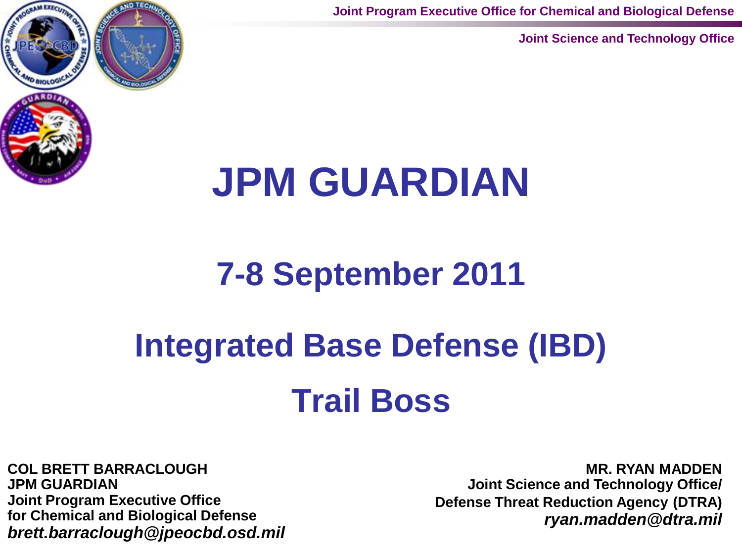**Joint Program Executive Office for Chemical and Biological Defense**

**Joint Science and Technology Office**



## **JPM GUARDIAN**

## **7-8 September 2011**

# **Integrated Base Defense (IBD)**

## **Trail Boss**

**COL BRETT BARRACLOUGH JPM GUARDIAN Joint Program Executive Office for Chemical and Biological Defense** *brett.barraclough@jpeocbd.osd.mil*

**MR. RYAN MADDEN Joint Science and Technology Office/ Defense Threat Reduction Agency (DTRA)**  *ryan.madden@dtra.mil*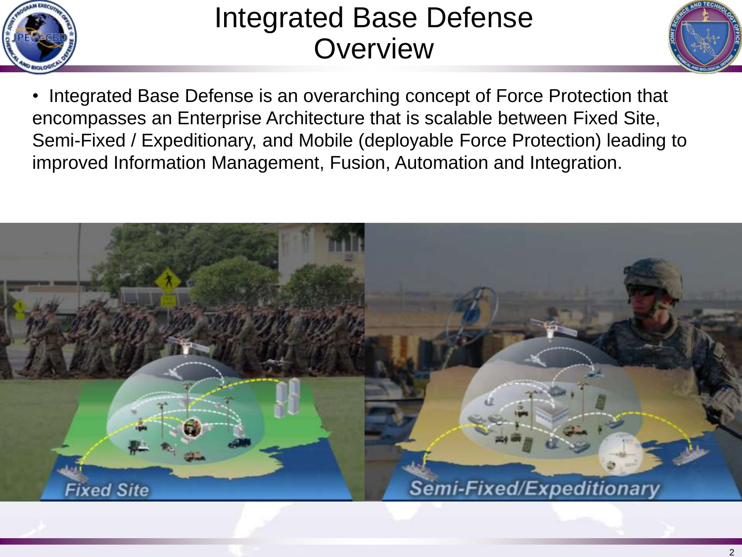

### Integrated Base Defense **Overview**



• Integrated Base Defense is an overarching concept of Force Protection that encompasses an Enterprise Architecture that is scalable between Fixed Site, Semi-Fixed / Expeditionary, and Mobile (deployable Force Protection) leading to improved Information Management, Fusion, Automation and Integration.

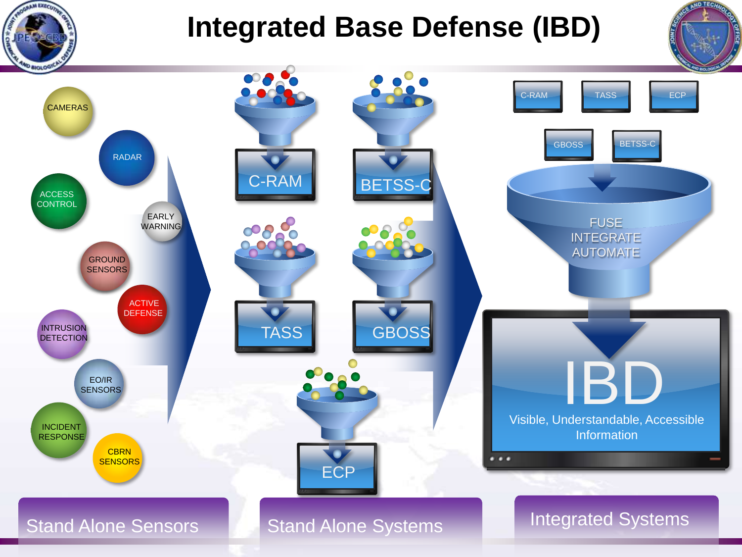

## **Integrated Base Defense (IBD)**



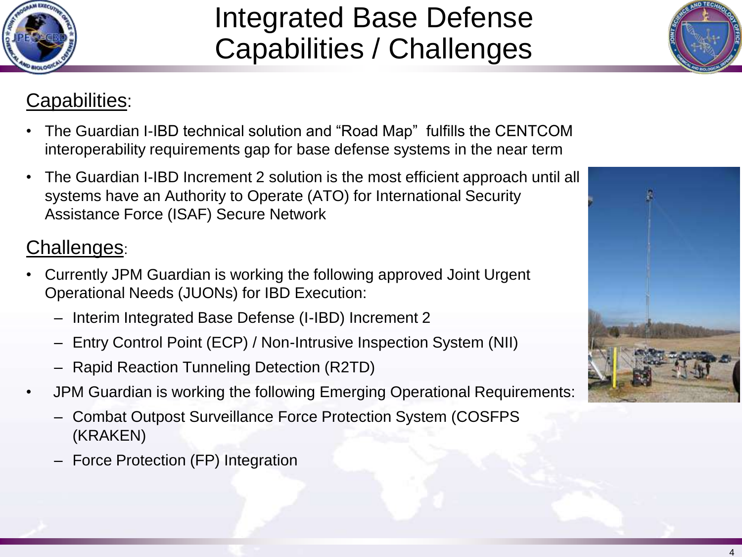## Integrated Base Defense Capabilities / Challenges



#### Capabilities:

- The Guardian I-IBD technical solution and "Road Map" fulfills the CENTCOM interoperability requirements gap for base defense systems in the near term
- The Guardian I-IBD Increment 2 solution is the most efficient approach until all systems have an Authority to Operate (ATO) for International Security Assistance Force (ISAF) Secure Network

#### Challenges:

- Currently JPM Guardian is working the following approved Joint Urgent Operational Needs (JUONs) for IBD Execution:
	- Interim Integrated Base Defense (I-IBD) Increment 2
	- Entry Control Point (ECP) / Non-Intrusive Inspection System (NII)
	- Rapid Reaction Tunneling Detection (R2TD)
- JPM Guardian is working the following Emerging Operational Requirements:
	- Combat Outpost Surveillance Force Protection System (COSFPS (KRAKEN)
	- Force Protection (FP) Integration

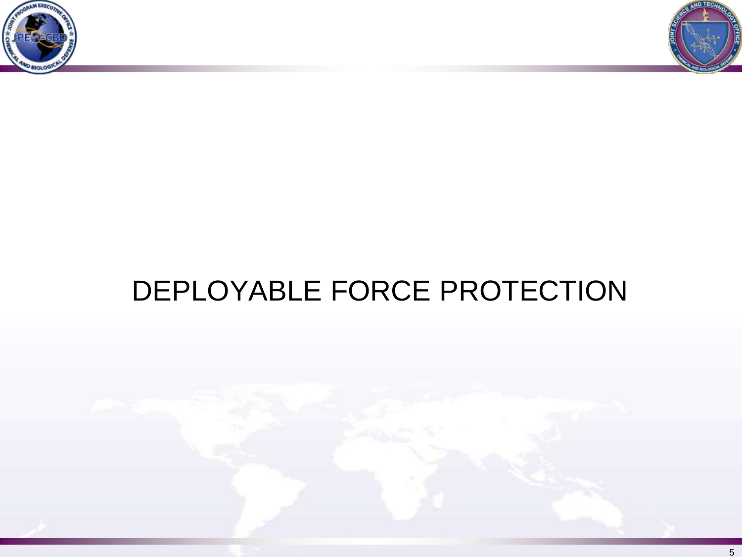



## DEPLOYABLE FORCE PROTECTION

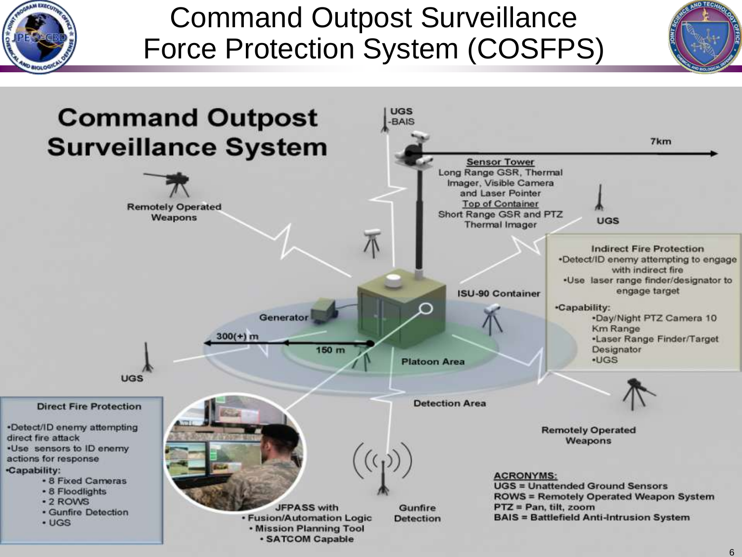

## Command Outpost Surveillance Force Protection System (COSFPS)